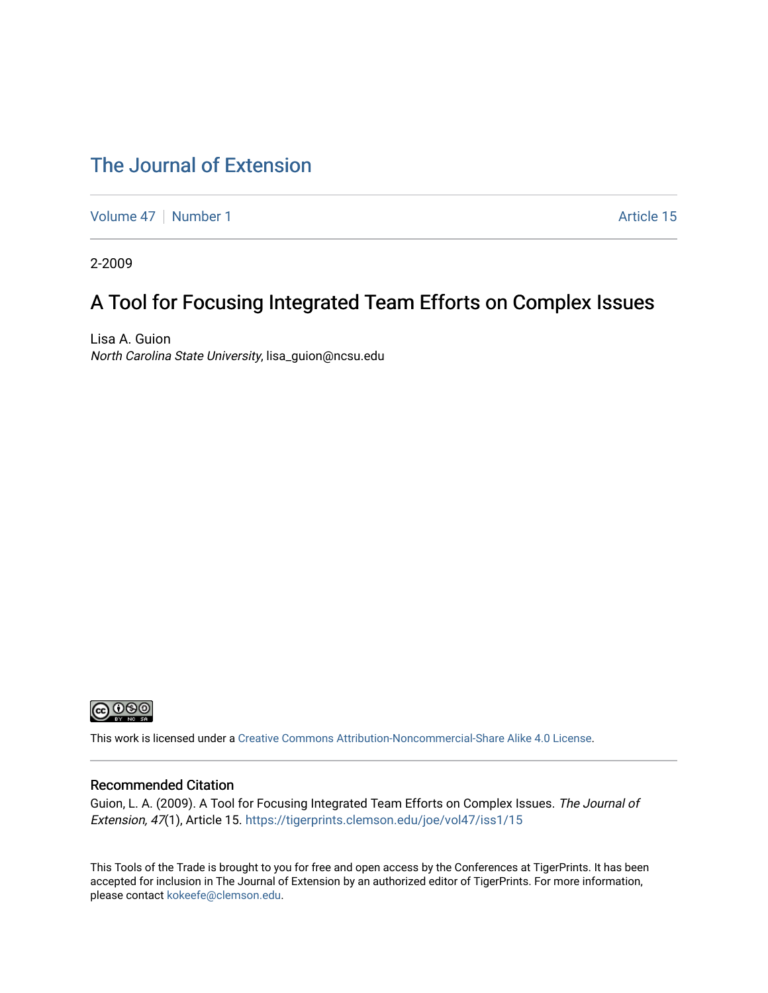#### [The Journal of Extension](https://tigerprints.clemson.edu/joe)

[Volume 47](https://tigerprints.clemson.edu/joe/vol47) | [Number 1](https://tigerprints.clemson.edu/joe/vol47/iss1) Article 15

2-2009

#### A Tool for Focusing Integrated Team Efforts on Complex Issues

Lisa A. Guion North Carolina State University, lisa\_guion@ncsu.edu



This work is licensed under a [Creative Commons Attribution-Noncommercial-Share Alike 4.0 License.](https://creativecommons.org/licenses/by-nc-sa/4.0/)

#### Recommended Citation

Guion, L. A. (2009). A Tool for Focusing Integrated Team Efforts on Complex Issues. The Journal of Extension, 47(1), Article 15. <https://tigerprints.clemson.edu/joe/vol47/iss1/15>

This Tools of the Trade is brought to you for free and open access by the Conferences at TigerPrints. It has been accepted for inclusion in The Journal of Extension by an authorized editor of TigerPrints. For more information, please contact [kokeefe@clemson.edu](mailto:kokeefe@clemson.edu).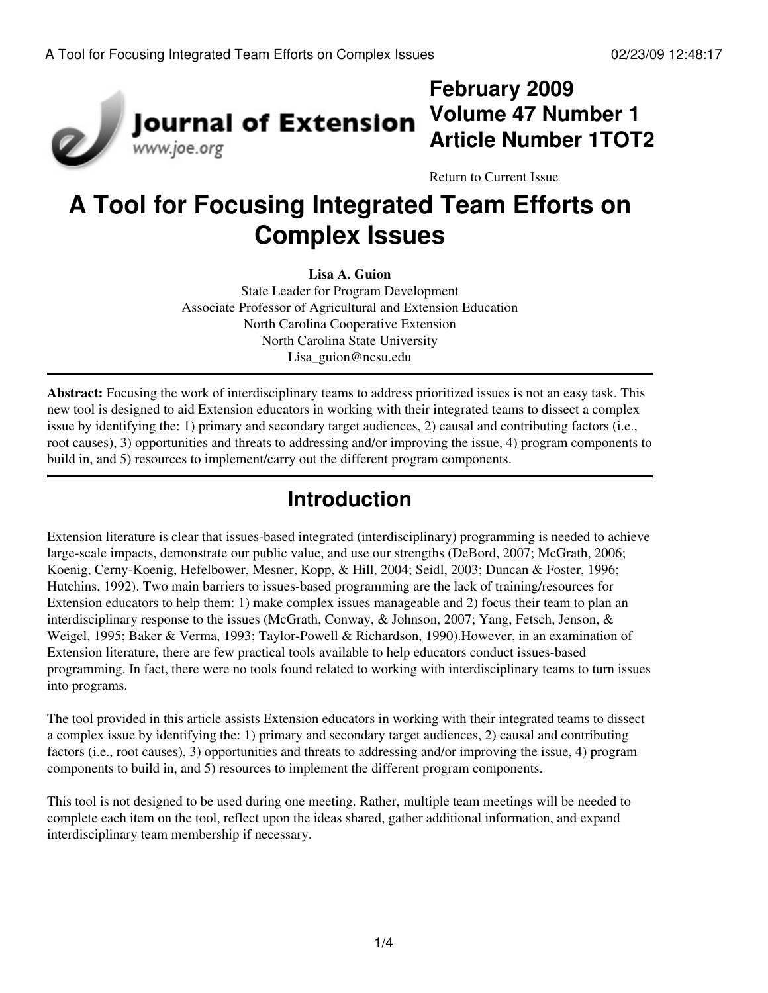

## **February 2009 Volume 47 Number 1 Article Number 1TOT2**

[Return to Current Issue](http://www.joe.org:80/joe/2009february/)

# **A Tool for Focusing Integrated Team Efforts on Complex Issues**

**Lisa A. Guion** State Leader for Program Development Associate Professor of Agricultural and Extension Education North Carolina Cooperative Extension North Carolina State University [Lisa\\_guion@ncsu.edu](mailto:Lisa_guion@ncsu.edu)

**Abstract:** Focusing the work of interdisciplinary teams to address prioritized issues is not an easy task. This new tool is designed to aid Extension educators in working with their integrated teams to dissect a complex issue by identifying the: 1) primary and secondary target audiences, 2) causal and contributing factors (i.e., root causes), 3) opportunities and threats to addressing and/or improving the issue, 4) program components to build in, and 5) resources to implement/carry out the different program components.

## **Introduction**

Extension literature is clear that issues-based integrated (interdisciplinary) programming is needed to achieve large-scale impacts, demonstrate our public value, and use our strengths (DeBord, 2007; McGrath, 2006; Koenig, Cerny-Koenig, Hefelbower, Mesner, Kopp, & Hill, 2004; Seidl, 2003; Duncan & Foster, 1996; Hutchins, 1992). Two main barriers to issues-based programming are the lack of training/resources for Extension educators to help them: 1) make complex issues manageable and 2) focus their team to plan an interdisciplinary response to the issues (McGrath, Conway, & Johnson, 2007; Yang, Fetsch, Jenson, & Weigel, 1995; Baker & Verma, 1993; Taylor-Powell & Richardson, 1990).However, in an examination of Extension literature, there are few practical tools available to help educators conduct issues-based programming. In fact, there were no tools found related to working with interdisciplinary teams to turn issues into programs.

The tool provided in this article assists Extension educators in working with their integrated teams to dissect a complex issue by identifying the: 1) primary and secondary target audiences, 2) causal and contributing factors (i.e., root causes), 3) opportunities and threats to addressing and/or improving the issue, 4) program components to build in, and 5) resources to implement the different program components.

This tool is not designed to be used during one meeting. Rather, multiple team meetings will be needed to complete each item on the tool, reflect upon the ideas shared, gather additional information, and expand interdisciplinary team membership if necessary.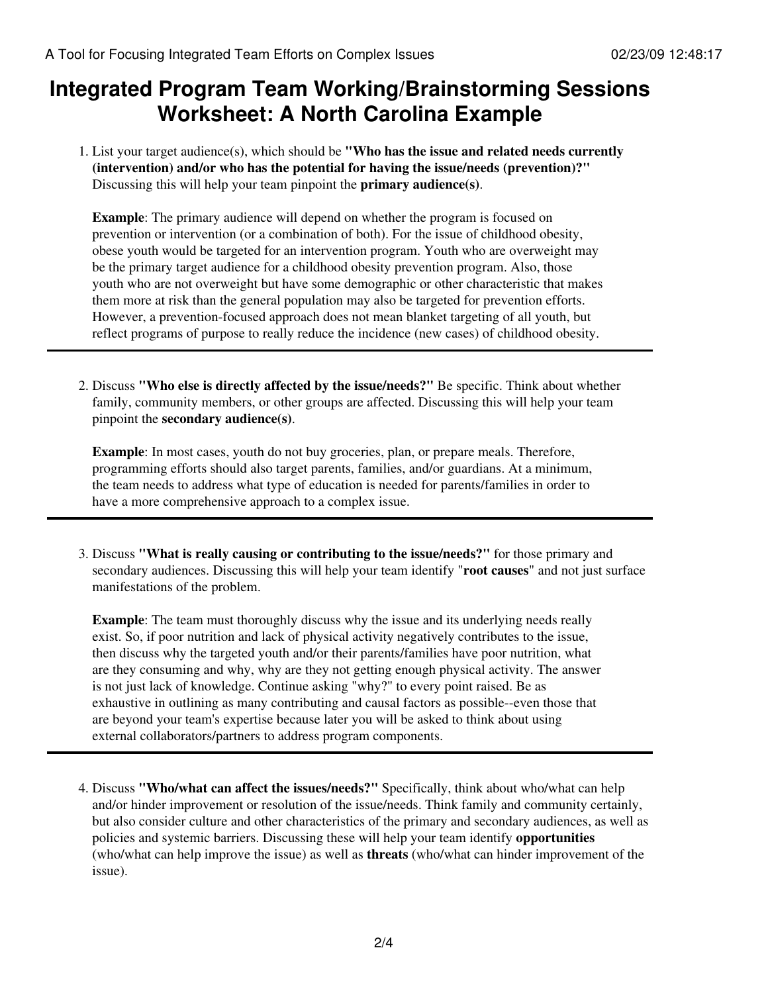### **Integrated Program Team Working/Brainstorming Sessions Worksheet: A North Carolina Example**

List your target audience(s), which should be **"Who has the issue and related needs currently** 1. **(intervention) and/or who has the potential for having the issue/needs (prevention)?"** Discussing this will help your team pinpoint the **primary audience(s)**.

**Example**: The primary audience will depend on whether the program is focused on prevention or intervention (or a combination of both). For the issue of childhood obesity, obese youth would be targeted for an intervention program. Youth who are overweight may be the primary target audience for a childhood obesity prevention program. Also, those youth who are not overweight but have some demographic or other characteristic that makes them more at risk than the general population may also be targeted for prevention efforts. However, a prevention-focused approach does not mean blanket targeting of all youth, but reflect programs of purpose to really reduce the incidence (new cases) of childhood obesity.

Discuss **"Who else is directly affected by the issue/needs?"** Be specific. Think about whether 2. family, community members, or other groups are affected. Discussing this will help your team pinpoint the **secondary audience(s)**.

**Example**: In most cases, youth do not buy groceries, plan, or prepare meals. Therefore, programming efforts should also target parents, families, and/or guardians. At a minimum, the team needs to address what type of education is needed for parents/families in order to have a more comprehensive approach to a complex issue.

Discuss **"What is really causing or contributing to the issue/needs?"** for those primary and 3. secondary audiences. Discussing this will help your team identify "**root causes**" and not just surface manifestations of the problem.

**Example**: The team must thoroughly discuss why the issue and its underlying needs really exist. So, if poor nutrition and lack of physical activity negatively contributes to the issue, then discuss why the targeted youth and/or their parents/families have poor nutrition, what are they consuming and why, why are they not getting enough physical activity. The answer is not just lack of knowledge. Continue asking "why?" to every point raised. Be as exhaustive in outlining as many contributing and causal factors as possible--even those that are beyond your team's expertise because later you will be asked to think about using external collaborators/partners to address program components.

Discuss **"Who/what can affect the issues/needs?"** Specifically, think about who/what can help 4. and/or hinder improvement or resolution of the issue/needs. Think family and community certainly, but also consider culture and other characteristics of the primary and secondary audiences, as well as policies and systemic barriers. Discussing these will help your team identify **opportunities** (who/what can help improve the issue) as well as **threats** (who/what can hinder improvement of the issue).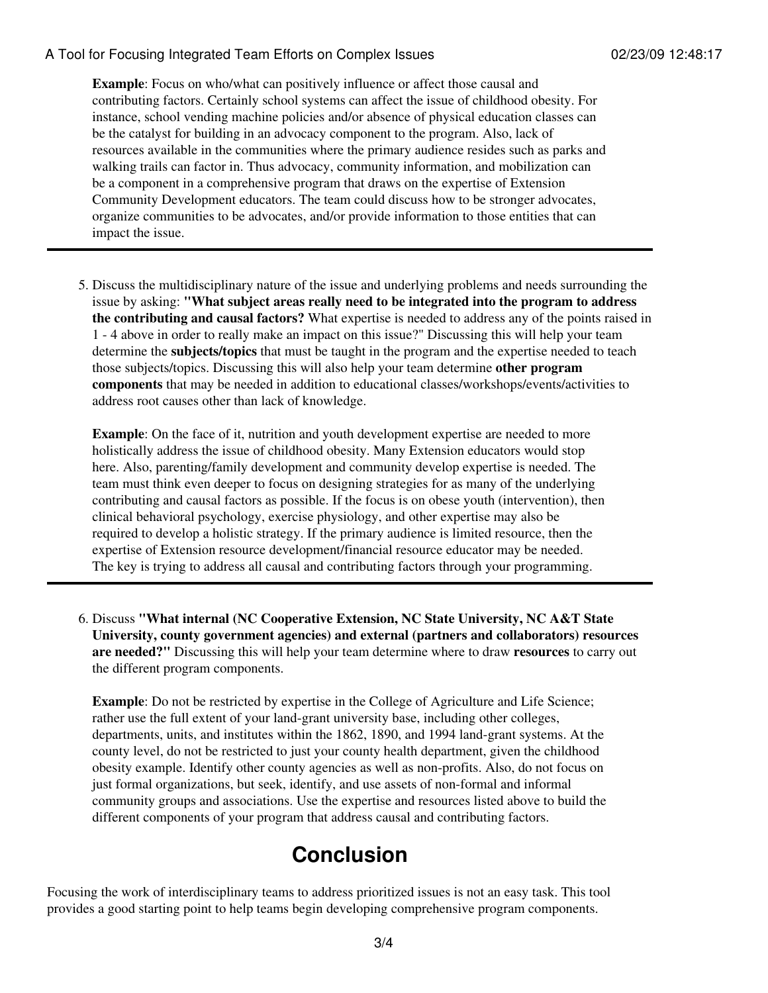#### A Tool for Focusing Integrated Team Efforts on Complex Issues 02/23/09 12:48:17

**Example**: Focus on who/what can positively influence or affect those causal and contributing factors. Certainly school systems can affect the issue of childhood obesity. For instance, school vending machine policies and/or absence of physical education classes can be the catalyst for building in an advocacy component to the program. Also, lack of resources available in the communities where the primary audience resides such as parks and walking trails can factor in. Thus advocacy, community information, and mobilization can be a component in a comprehensive program that draws on the expertise of Extension Community Development educators. The team could discuss how to be stronger advocates, organize communities to be advocates, and/or provide information to those entities that can impact the issue.

5. Discuss the multidisciplinary nature of the issue and underlying problems and needs surrounding the issue by asking: **"What subject areas really need to be integrated into the program to address the contributing and causal factors?** What expertise is needed to address any of the points raised in 1 - 4 above in order to really make an impact on this issue?" Discussing this will help your team determine the **subjects/topics** that must be taught in the program and the expertise needed to teach those subjects/topics. Discussing this will also help your team determine **other program components** that may be needed in addition to educational classes/workshops/events/activities to address root causes other than lack of knowledge.

**Example**: On the face of it, nutrition and youth development expertise are needed to more holistically address the issue of childhood obesity. Many Extension educators would stop here. Also, parenting/family development and community develop expertise is needed. The team must think even deeper to focus on designing strategies for as many of the underlying contributing and causal factors as possible. If the focus is on obese youth (intervention), then clinical behavioral psychology, exercise physiology, and other expertise may also be required to develop a holistic strategy. If the primary audience is limited resource, then the expertise of Extension resource development/financial resource educator may be needed. The key is trying to address all causal and contributing factors through your programming.

Discuss **"What internal (NC Cooperative Extension, NC State University, NC A&T State** 6. **University, county government agencies) and external (partners and collaborators) resources are needed?"** Discussing this will help your team determine where to draw **resources** to carry out the different program components.

**Example**: Do not be restricted by expertise in the College of Agriculture and Life Science; rather use the full extent of your land-grant university base, including other colleges, departments, units, and institutes within the 1862, 1890, and 1994 land-grant systems. At the county level, do not be restricted to just your county health department, given the childhood obesity example. Identify other county agencies as well as non-profits. Also, do not focus on just formal organizations, but seek, identify, and use assets of non-formal and informal community groups and associations. Use the expertise and resources listed above to build the different components of your program that address causal and contributing factors.

## **Conclusion**

Focusing the work of interdisciplinary teams to address prioritized issues is not an easy task. This tool provides a good starting point to help teams begin developing comprehensive program components.